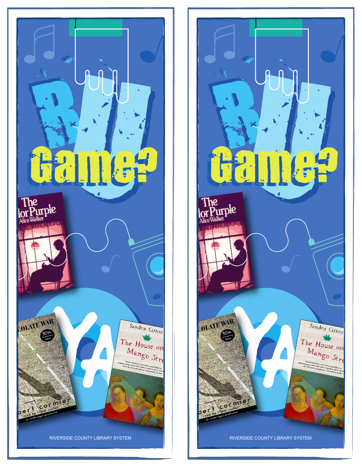